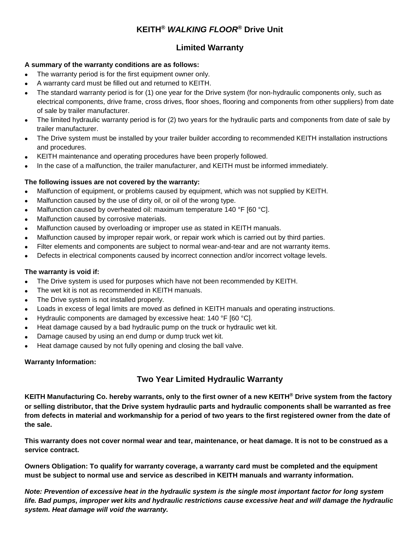# **KEITH®** *WALKING FLOOR***® Drive Unit**

### **Limited Warranty**

#### **A summary of the warranty conditions are as follows:**

- The warranty period is for the first equipment owner only.
- A warranty card must be filled out and returned to KEITH.
- The standard warranty period is for (1) one year for the Drive system (for non-hydraulic components only, such as electrical components, drive frame, cross drives, floor shoes, flooring and components from other suppliers) from date of sale by trailer manufacturer.
- The limited hydraulic warranty period is for (2) two years for the hydraulic parts and components from date of sale by trailer manufacturer.
- The Drive system must be installed by your trailer builder according to recommended KEITH installation instructions and procedures.
- KEITH maintenance and operating procedures have been properly followed.
- In the case of a malfunction, the trailer manufacturer, and KEITH must be informed immediately.

#### **The following issues are not covered by the warranty:**

- Malfunction of equipment, or problems caused by equipment, which was not supplied by KEITH.
- Malfunction caused by the use of dirty oil, or oil of the wrong type.
- Malfunction caused by overheated oil: maximum temperature 140 °F [60 °C].
- Malfunction caused by corrosive materials.
- Malfunction caused by overloading or improper use as stated in KEITH manuals.
- Malfunction caused by improper repair work, or repair work which is carried out by third parties.
- Filter elements and components are subject to normal wear-and-tear and are not warranty items.
- Defects in electrical components caused by incorrect connection and/or incorrect voltage levels.

#### **The warranty is void if:**

- The Drive system is used for purposes which have not been recommended by KEITH.
- The wet kit is not as recommended in KEITH manuals.
- The Drive system is not installed properly.
- Loads in excess of legal limits are moved as defined in KEITH manuals and operating instructions.
- Hydraulic components are damaged by excessive heat: 140 °F [60 °C].
- Heat damage caused by a bad hydraulic pump on the truck or hydraulic wet kit.
- Damage caused by using an end dump or dump truck wet kit.
- Heat damage caused by not fully opening and closing the ball valve.

#### **Warranty Information:**

# **Two Year Limited Hydraulic Warranty**

**KEITH Manufacturing Co. hereby warrants, only to the first owner of a new KEITH® Drive system from the factory or selling distributor, that the Drive system hydraulic parts and hydraulic components shall be warranted as free from defects in material and workmanship for a period of two years to the first registered owner from the date of the sale.** 

**This warranty does not cover normal wear and tear, maintenance, or heat damage. It is not to be construed as a service contract.** 

**Owners Obligation: To qualify for warranty coverage, a warranty card must be completed and the equipment must be subject to normal use and service as described in KEITH manuals and warranty information.** 

*Note: Prevention of excessive heat in the hydraulic system is the single most important factor for long system life. Bad pumps, improper wet kits and hydraulic restrictions cause excessive heat and will damage the hydraulic system. Heat damage will void the warranty.*